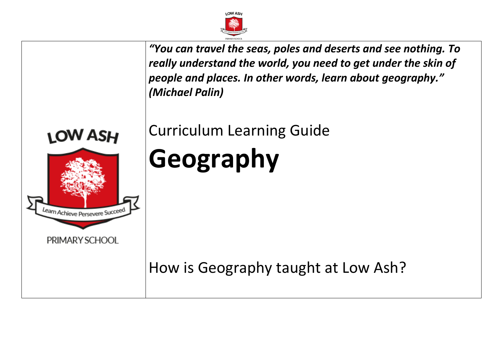

*"You can travel the seas, poles and deserts and see nothing. To really understand the world, you need to get under the skin of people and places. In other words, learn about geography." (Michael Palin)*

Curriculum Learning Guide

# **LOW ASH** earn Achieve Persevere Succeed PRIMARY SCHOOL

**Geography**

How is Geography taught at Low Ash?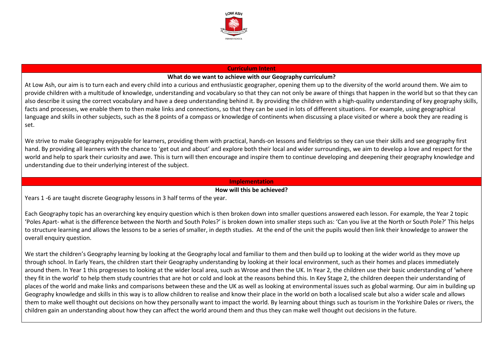

### **Curriculum Intent**

### **What do we want to achieve with our Geography curriculum?**

At Low Ash, our aim is to turn each and every child into a curious and enthusiastic geographer, opening them up to the diversity of the world around them. We aim to provide children with a multitude of knowledge, understanding and vocabulary so that they can not only be aware of things that happen in the world but so that they can also describe it using the correct vocabulary and have a deep understanding behind it. By providing the children with a high-quality understanding of key geography skills, facts and processes, we enable them to then make links and connections, so that they can be used in lots of different situations. For example, using geographical language and skills in other subjects, such as the 8 points of a compass or knowledge of continents when discussing a place visited or where a book they are reading is set.

We strive to make Geography enjoyable for learners, providing them with practical, hands-on lessons and fieldtrips so they can use their skills and see geography first hand. By providing all learners with the chance to 'get out and about' and explore both their local and wider surroundings, we aim to develop a love and respect for the world and help to spark their curiosity and awe. This is turn will then encourage and inspire them to continue developing and deepening their geography knowledge and understanding due to their underlying interest of the subject.

### **Implementation**

## **How will this be achieved?**

Years 1 -6 are taught discrete Geography lessons in 3 half terms of the year.

Each Geography topic has an overarching key enquiry question which is then broken down into smaller questions answered each lesson. For example, the Year 2 topic 'Poles Apart- what is the difference between the North and South Poles?' is broken down into smaller steps such as: 'Can you live at the North or South Pole?' This helps to structure learning and allows the lessons to be a series of smaller, in depth studies. At the end of the unit the pupils would then link their knowledge to answer the overall enquiry question.

We start the children's Geography learning by looking at the Geography local and familiar to them and then build up to looking at the wider world as they move up through school. In Early Years, the children start their Geography understanding by looking at their local environment, such as their homes and places immediately around them. In Year 1 this progresses to looking at the wider local area, such as Wrose and then the UK. In Year 2, the children use their basic understanding of 'where they fit in the world' to help them study countries that are hot or cold and look at the reasons behind this. In Key Stage 2, the children deepen their understanding of places of the world and make links and comparisons between these and the UK as well as looking at environmental issues such as global warming. Our aim in building up Geography knowledge and skills in this way is to allow children to realise and know their place in the world on both a localised scale but also a wider scale and allows them to make well thought out decisions on how they personally want to impact the world. By learning about things such as tourism in the Yorkshire Dales or rivers, the children gain an understanding about how they can affect the world around them and thus they can make well thought out decisions in the future.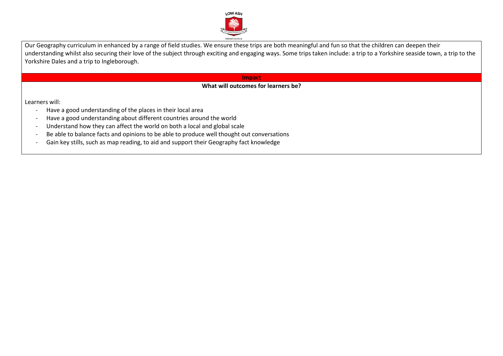

Our Geography curriculum in enhanced by a range of field studies. We ensure these trips are both meaningful and fun so that the children can deepen their understanding whilst also securing their love of the subject through exciting and engaging ways. Some trips taken include: a trip to a Yorkshire seaside town, a trip to the Yorkshire Dales and a trip to Ingleborough.

### **Impact**

# **What will outcomes for learners be?**

Learners will:

- Have a good understanding of the places in their local area
- Have a good understanding about different countries around the world
- Understand how they can affect the world on both a local and global scale
- Be able to balance facts and opinions to be able to produce well thought out conversations
- Gain key stills, such as map reading, to aid and support their Geography fact knowledge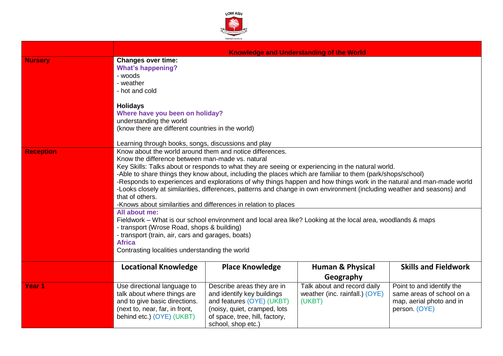

|                   | <b>Knowledge and Understanding of the World</b>                                                                                                                                                                                                                                                                                                                                                                                                                                                                                                                                                       |                                                                                                                                                                               |                                                                                      |                                                                                                     |  |
|-------------------|-------------------------------------------------------------------------------------------------------------------------------------------------------------------------------------------------------------------------------------------------------------------------------------------------------------------------------------------------------------------------------------------------------------------------------------------------------------------------------------------------------------------------------------------------------------------------------------------------------|-------------------------------------------------------------------------------------------------------------------------------------------------------------------------------|--------------------------------------------------------------------------------------|-----------------------------------------------------------------------------------------------------|--|
| <b>Nursery</b>    | <b>Changes over time:</b><br><b>What's happening?</b><br>- woods<br>- weather<br>- hot and cold                                                                                                                                                                                                                                                                                                                                                                                                                                                                                                       |                                                                                                                                                                               |                                                                                      |                                                                                                     |  |
|                   | <b>Holidays</b><br>Where have you been on holiday?<br>understanding the world<br>(know there are different countries in the world)<br>Learning through books, songs, discussions and play                                                                                                                                                                                                                                                                                                                                                                                                             |                                                                                                                                                                               |                                                                                      |                                                                                                     |  |
| <b>Reception</b>  | Know about the world around them and notice differences.<br>Know the difference between man-made vs. natural<br>Key Skills: Talks about or responds to what they are seeing or experiencing in the natural world.<br>-Able to share things they know about, including the places which are familiar to them (park/shops/school)<br>-Responds to experiences and explorations of why things happen and how things work in the natural and man-made world<br>-Looks closely at similarities, differences, patterns and change in own environment (including weather and seasons) and<br>that of others. |                                                                                                                                                                               |                                                                                      |                                                                                                     |  |
|                   | -Knows about similarities and differences in relation to places<br>All about me:<br>Fieldwork – What is our school environment and local area like? Looking at the local area, woodlands & maps<br>- transport (Wrose Road, shops & building)<br>- transport (train, air, cars and garages, boats)<br><b>Africa</b><br>Contrasting localities understanding the world                                                                                                                                                                                                                                 |                                                                                                                                                                               |                                                                                      |                                                                                                     |  |
|                   | <b>Locational Knowledge</b>                                                                                                                                                                                                                                                                                                                                                                                                                                                                                                                                                                           | <b>Place Knowledge</b>                                                                                                                                                        | <b>Human &amp; Physical</b>                                                          | <b>Skills and Fieldwork</b>                                                                         |  |
| Year <sub>1</sub> | Use directional language to<br>talk about where things are<br>and to give basic directions.<br>(next to, near, far, in front,<br>behind etc.) (OYE) (UKBT)                                                                                                                                                                                                                                                                                                                                                                                                                                            | Describe areas they are in<br>and identify key buildings<br>and features (OYE) (UKBT)<br>(noisy, quiet, cramped, lots<br>of space, tree, hill, factory,<br>school, shop etc.) | Geography<br>Talk about and record daily<br>weather (inc. rainfall.) (OYE)<br>(UKBT) | Point to and identify the<br>same areas of school on a<br>map, aerial photo and in<br>person. (OYE) |  |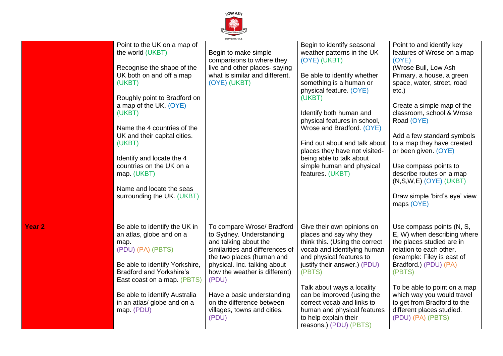

|               |                                                                                                                                                                                                                                                                                                                                                                                                    | PRIMARY SCHOOL                                                                                                                                                                                                                                                                                                               |                                                                                                                                                                                                                                                                                                                                                                                                                |                                                                                                                                                                                                                                                                                                                                                                                                                                                                 |
|---------------|----------------------------------------------------------------------------------------------------------------------------------------------------------------------------------------------------------------------------------------------------------------------------------------------------------------------------------------------------------------------------------------------------|------------------------------------------------------------------------------------------------------------------------------------------------------------------------------------------------------------------------------------------------------------------------------------------------------------------------------|----------------------------------------------------------------------------------------------------------------------------------------------------------------------------------------------------------------------------------------------------------------------------------------------------------------------------------------------------------------------------------------------------------------|-----------------------------------------------------------------------------------------------------------------------------------------------------------------------------------------------------------------------------------------------------------------------------------------------------------------------------------------------------------------------------------------------------------------------------------------------------------------|
|               | Point to the UK on a map of<br>the world (UKBT)<br>Recognise the shape of the<br>UK both on and off a map<br>(UKBT)<br>Roughly point to Bradford on<br>a map of the UK. (OYE)<br>(UKBT)<br>Name the 4 countries of the<br>UK and their capital cities.<br>(UKBT)<br>Identify and locate the 4<br>countries on the UK on a<br>map. (UKBT)<br>Name and locate the seas<br>surrounding the UK. (UKBT) | Begin to make simple<br>comparisons to where they<br>live and other places- saying<br>what is similar and different.<br>(OYE) (UKBT)                                                                                                                                                                                         | Begin to identify seasonal<br>weather patterns in the UK<br>(OYE) (UKBT)<br>Be able to identify whether<br>something is a human or<br>physical feature. (OYE)<br>(UKBT)<br>Identify both human and<br>physical features in school,<br>Wrose and Bradford. (OYE)<br>Find out about and talk about<br>places they have not visited-<br>being able to talk about<br>simple human and physical<br>features. (UKBT) | Point to and identify key<br>features of Wrose on a map<br>(OYE)<br>(Wrose Bull, Low Ash<br>Primary, a house, a green<br>space, water, street, road<br>$etc.$ )<br>Create a simple map of the<br>classroom, school & Wrose<br>Road (OYE)<br>Add a few standard symbols<br>to a map they have created<br>or been given. (OYE)<br>Use compass points to<br>describe routes on a map<br>$(N, S, W, E)$ (OYE) (UKBT)<br>Draw simple 'bird's eye' view<br>maps (OYE) |
| <b>Year 2</b> | Be able to identify the UK in<br>an atlas, globe and on a<br>map.<br>(PDU) (PA) (PBTS)<br>Be able to identify Yorkshire,<br><b>Bradford and Yorkshire's</b><br>East coast on a map. (PBTS)<br>Be able to identify Australia<br>in an atlas/ globe and on a<br>map. (PDU)                                                                                                                           | To compare Wrose/ Bradford<br>to Sydney. Understanding<br>and talking about the<br>similarities and differences of<br>the two places (human and<br>physical. Inc. talking about<br>how the weather is different)<br>(PDU)<br>Have a basic understanding<br>on the difference between<br>villages, towns and cities.<br>(PDU) | Give their own opinions on<br>places and say why they<br>think this. (Using the correct<br>vocab and identifying human<br>and physical features to<br>justify their answer.) (PDU)<br>(PBTS)<br>Talk about ways a locality<br>can be improved (using the<br>correct vocab and links to<br>human and physical features<br>to help explain their<br>reasons.) (PDU) (PBTS)                                       | Use compass points (N, S,<br>E, W) when describing where<br>the places studied are in<br>relation to each other.<br>(example: Filey is east of<br>Bradford.) (PDU) (PA)<br>(PBTS)<br>To be able to point on a map<br>which way you would travel<br>to get from Bradford to the<br>different places studied.<br>(PDU) (PA) (PBTS)                                                                                                                                |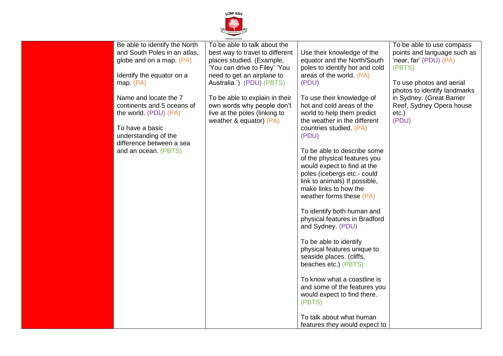

| Be able to identify the North<br>and South Poles in an atlas,<br>globe and on a map. (PA)<br>Identify the equator on a<br>map. (PA)                                         | To be able to talk about the<br>best way to travel to different<br>places studied. (Example,<br>'You can drive to Filey' 'You<br>need to get an airplane to<br>Australia.') (PDU) (PBTS) | Use their knowledge of the<br>equator and the North/South<br>poles to identify hot and cold<br>areas of the world. (PA)<br>(PDU)                                                                                                                                                                                                                                                                                                                                                                                                                                                                                                                                                                                                                  | To be able to use compass<br>points and language such as<br>'near, far' (PDU) (PA)<br>(PBTS)<br>To use photos and aerial<br>photos to identify landmarks |
|-----------------------------------------------------------------------------------------------------------------------------------------------------------------------------|------------------------------------------------------------------------------------------------------------------------------------------------------------------------------------------|---------------------------------------------------------------------------------------------------------------------------------------------------------------------------------------------------------------------------------------------------------------------------------------------------------------------------------------------------------------------------------------------------------------------------------------------------------------------------------------------------------------------------------------------------------------------------------------------------------------------------------------------------------------------------------------------------------------------------------------------------|----------------------------------------------------------------------------------------------------------------------------------------------------------|
| Name and locate the 7<br>continents and 5 oceans of<br>the world. (PDU) (PA)<br>To have a basic<br>understanding of the<br>difference between a sea<br>and an ocean. (PBTS) | To be able to explain in their<br>own words why people don't<br>live at the poles (linking to<br>weather & equator) $(PA)$                                                               | To use their knowledge of<br>hot and cold areas of the<br>world to help them predict<br>the weather in the different<br>countries studied. (PA)<br>(PDU)<br>To be able to describe some<br>of the physical features you<br>would expect to find at the<br>poles (icebergs etc.- could<br>link to animals) If possible,<br>make links to how the<br>weather forms these (PA)<br>To identify both human and<br>physical features in Bradford<br>and Sydney. (PDU)<br>To be able to identify<br>physical features unique to<br>seaside places. (cliffs,<br>beaches etc.) (PBTS)<br>To know what a coastline is<br>and some of the features you<br>would expect to find there.<br>(PBTS)<br>To talk about what human<br>features they would expect to | in Sydney. (Great Barrier<br>Reef, Sydney Opera house<br>$etc.$ )<br>(PDU)                                                                               |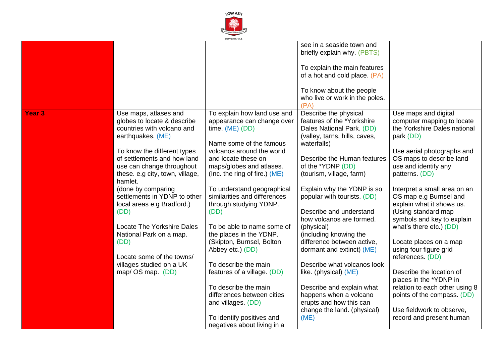

|               |                                 |                               | see in a seaside town and      |                                |
|---------------|---------------------------------|-------------------------------|--------------------------------|--------------------------------|
|               |                                 |                               | briefly explain why. (PBTS)    |                                |
|               |                                 |                               |                                |                                |
|               |                                 |                               | To explain the main features   |                                |
|               |                                 |                               | of a hot and cold place. (PA)  |                                |
|               |                                 |                               |                                |                                |
|               |                                 |                               |                                |                                |
|               |                                 |                               | To know about the people       |                                |
|               |                                 |                               | who live or work in the poles. |                                |
|               |                                 |                               | (PA)                           |                                |
| <b>Year 3</b> | Use maps, atlases and           | To explain how land use and   | Describe the physical          | Use maps and digital           |
|               | globes to locate & describe     | appearance can change over    | features of the *Yorkshire     | computer mapping to locate     |
|               | countries with volcano and      | time. $(ME)$ (DD)             | Dales National Park. (DD)      | the Yorkshire Dales national   |
|               | earthquakes. (ME)               |                               | (valley, tarns, hills, caves,  | park (DD)                      |
|               |                                 | Name some of the famous       | waterfalls)                    |                                |
|               | To know the different types     | volcanos around the world     |                                | Use aerial photographs and     |
|               | of settlements and how land     | and locate these on           | Describe the Human features    | OS maps to describe land       |
|               |                                 |                               |                                |                                |
|               | use can change throughout       | maps/globes and atlases.      | of the *YDNP (DD)              | use and identify any           |
|               | these. e.g city, town, village, | (Inc. the ring of fire.) (ME) | (tourism, village, farm)       | patterns. (DD)                 |
|               | hamlet.                         |                               |                                |                                |
|               | (done by comparing              | To understand geographical    | Explain why the YDNP is so     | Interpret a small area on an   |
|               | settlements in YDNP to other    | similarities and differences  | popular with tourists. (DD)    | OS map e.g Burnsel and         |
|               | local areas e.g Bradford.)      | through studying YDNP.        |                                | explain what it shows us.      |
|               | (DD)                            | (DD)                          | Describe and understand        | (Using standard map            |
|               |                                 |                               | how volcanos are formed.       | symbols and key to explain     |
|               | Locate The Yorkshire Dales      | To be able to name some of    | (physical)                     | what's there etc.) (DD)        |
|               | National Park on a map.         | the places in the YDNP.       | (including knowing the         |                                |
|               | (DD)                            | (Skipton, Burnsel, Bolton     | difference between active,     | Locate places on a map         |
|               |                                 |                               |                                | using four figure grid         |
|               | Locate some of the towns/       | Abbey etc.) (DD)              | dormant and extinct) (ME)      |                                |
|               |                                 |                               |                                | references. (DD)               |
|               | villages studied on a UK        | To describe the main          | Describe what volcanos look    |                                |
|               | map/ OS map. (DD)               | features of a village. (DD)   | like. (physical) (ME)          | Describe the location of       |
|               |                                 |                               |                                | places in the *YDNP in         |
|               |                                 | To describe the main          | Describe and explain what      | relation to each other using 8 |
|               |                                 | differences between cities    | happens when a volcano         | points of the compass. (DD)    |
|               |                                 | and villages. (DD)            | erupts and how this can        |                                |
|               |                                 |                               | change the land. (physical)    | Use fieldwork to observe,      |
|               |                                 | To identify positives and     | (ME)                           | record and present human       |
|               |                                 | negatives about living in a   |                                |                                |
|               |                                 |                               |                                |                                |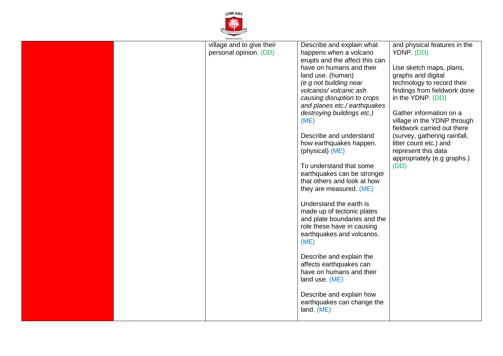

| PRIMARY SCHOOL                                      |                                                     |                                            |
|-----------------------------------------------------|-----------------------------------------------------|--------------------------------------------|
| village and to give their<br>personal opinion. (DD) | Describe and explain what<br>happens when a volcano | and physical features in the<br>YDNP. (DD) |
|                                                     | erupts and the affect this can                      |                                            |
|                                                     | have on humans and their                            | Use sketch maps, plans,                    |
|                                                     | land use. (human)                                   | graphs and digital                         |
|                                                     | (e.g not building near                              | technology to record their                 |
|                                                     | volcanos/volcanic ash                               | findings from fieldwork done               |
|                                                     | causing disruption to crops                         | in the YDNP. (DD)                          |
|                                                     | and planes etc./ earthquakes                        |                                            |
|                                                     | destroying buildings etc.)                          | Gather information on a                    |
|                                                     | (ME)                                                | village in the YDNP through                |
|                                                     |                                                     | fieldwork carried out there                |
|                                                     | Describe and understand                             |                                            |
|                                                     |                                                     | (survey, gathering rainfall,               |
|                                                     | how earthquakes happen.                             | litter count etc.) and                     |
|                                                     | (physical) (ME)                                     | represent this data                        |
|                                                     |                                                     | appropriately (e.g graphs.)                |
|                                                     | To understand that some                             | (DD)                                       |
|                                                     | earthquakes can be stronger                         |                                            |
|                                                     | that others and look at how                         |                                            |
|                                                     | they are measured. (ME)                             |                                            |
|                                                     |                                                     |                                            |
|                                                     | Understand the earth is                             |                                            |
|                                                     | made up of tectonic plates                          |                                            |
|                                                     | and plate boundaries and the                        |                                            |
|                                                     | role these have in causing                          |                                            |
|                                                     | earthquakes and volcanos.                           |                                            |
|                                                     | (ME)                                                |                                            |
|                                                     |                                                     |                                            |
|                                                     | Describe and explain the                            |                                            |
|                                                     | affects earthquakes can                             |                                            |
|                                                     | have on humans and their                            |                                            |
|                                                     | land use. (ME)                                      |                                            |
|                                                     |                                                     |                                            |
|                                                     | Describe and explain how                            |                                            |
|                                                     | earthquakes can change the                          |                                            |
|                                                     |                                                     |                                            |
|                                                     | land. (ME)                                          |                                            |
|                                                     |                                                     |                                            |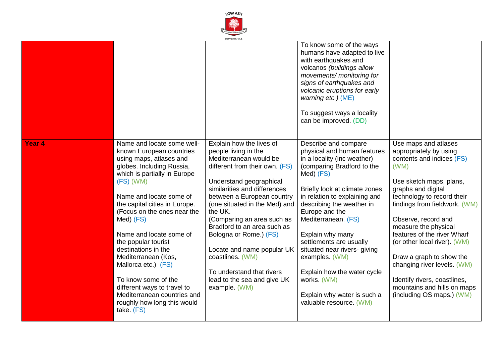

|                   |                                                                                                                                                                                                                                                                                                                                                                                                                                                                                                                                  |                                                                                                                                                                                                                                                                                                                                                                                                                                                                         | To know some of the ways<br>humans have adapted to live<br>with earthquakes and<br>volcanos (buildings allow<br>movements/ monitoring for<br>signs of earthquakes and<br>volcanic eruptions for early<br>warning etc.) (ME)<br>To suggest ways a locality<br>can be improved. (DD)                                                                                                                                                                                             |                                                                                                                                                                                                                                                                                                                                                                                                                                                                          |
|-------------------|----------------------------------------------------------------------------------------------------------------------------------------------------------------------------------------------------------------------------------------------------------------------------------------------------------------------------------------------------------------------------------------------------------------------------------------------------------------------------------------------------------------------------------|-------------------------------------------------------------------------------------------------------------------------------------------------------------------------------------------------------------------------------------------------------------------------------------------------------------------------------------------------------------------------------------------------------------------------------------------------------------------------|--------------------------------------------------------------------------------------------------------------------------------------------------------------------------------------------------------------------------------------------------------------------------------------------------------------------------------------------------------------------------------------------------------------------------------------------------------------------------------|--------------------------------------------------------------------------------------------------------------------------------------------------------------------------------------------------------------------------------------------------------------------------------------------------------------------------------------------------------------------------------------------------------------------------------------------------------------------------|
| Year <sub>4</sub> | Name and locate some well-<br>known European countries<br>using maps, atlases and<br>globes. Including Russia,<br>which is partially in Europe<br>$(FS)$ (WM)<br>Name and locate some of<br>the capital cities in Europe.<br>(Focus on the ones near the<br>Med) (FS)<br>Name and locate some of<br>the popular tourist<br>destinations in the<br>Mediterranean (Kos,<br>Mallorca etc.) (FS)<br>To know some of the<br>different ways to travel to<br>Mediterranean countries and<br>roughly how long this would<br>take. $(FS)$ | Explain how the lives of<br>people living in the<br>Mediterranean would be<br>different from their own. (FS)<br>Understand geographical<br>similarities and differences<br>between a European country<br>(one situated in the Med) and<br>the UK.<br>(Comparing an area such as<br>Bradford to an area such as<br>Bologna or Rome.) (FS)<br>Locate and name popular UK<br>coastlines. (WM)<br>To understand that rivers<br>lead to the sea and give UK<br>example. (WM) | Describe and compare<br>physical and human features<br>in a locality (inc weather)<br>(comparing Bradford to the<br>Med) (FS)<br>Briefly look at climate zones<br>in relation to explaining and<br>describing the weather in<br>Europe and the<br>Mediterranean. (FS)<br>Explain why many<br>settlements are usually<br>situated near rivers- giving<br>examples. (WM)<br>Explain how the water cycle<br>works. (WM)<br>Explain why water is such a<br>valuable resource. (WM) | Use maps and atlases<br>appropriately by using<br>contents and indices (FS)<br>(WM)<br>Use sketch maps, plans,<br>graphs and digital<br>technology to record their<br>findings from fieldwork. (WM)<br>Observe, record and<br>measure the physical<br>features of the river Wharf<br>(or other local river). (WM)<br>Draw a graph to show the<br>changing river levels. (WM)<br>Identify rivers, coastlines,<br>mountains and hills on maps<br>(including OS maps.) (WM) |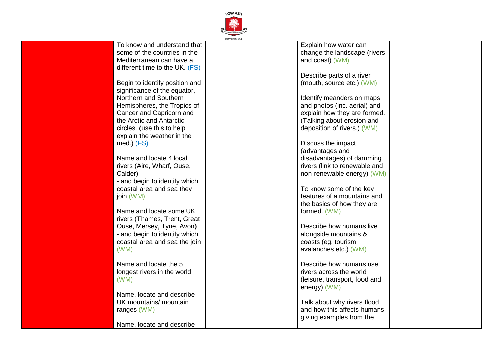

| To know and understand that    | Explain how water can         |  |
|--------------------------------|-------------------------------|--|
| some of the countries in the   | change the landscape (rivers  |  |
| Mediterranean can have a       | and coast) (WM)               |  |
| different time to the UK. (FS) |                               |  |
|                                | Describe parts of a river     |  |
| Begin to identify position and | (mouth, source etc.) (WM)     |  |
| significance of the equator,   |                               |  |
| Northern and Southern          |                               |  |
|                                | Identify meanders on maps     |  |
| Hemispheres, the Tropics of    | and photos (inc. aerial) and  |  |
| Cancer and Capricorn and       | explain how they are formed.  |  |
| the Arctic and Antarctic       | (Talking about erosion and    |  |
| circles. (use this to help     | deposition of rivers.) (WM)   |  |
| explain the weather in the     |                               |  |
| med.) (FS)                     | Discuss the impact            |  |
|                                | (advantages and               |  |
| Name and locate 4 local        | disadvantages) of damming     |  |
| rivers (Aire, Wharf, Ouse,     | rivers (link to renewable and |  |
| Calder)                        | non-renewable energy) (WM)    |  |
| - and begin to identify which  |                               |  |
| coastal area and sea they      | To know some of the key       |  |
| join (WM)                      | features of a mountains and   |  |
|                                | the basics of how they are    |  |
| Name and locate some UK        | formed. (WM)                  |  |
| rivers (Thames, Trent, Great   |                               |  |
| Ouse, Mersey, Tyne, Avon)      | Describe how humans live      |  |
| - and begin to identify which  | alongside mountains &         |  |
| coastal area and sea the join  | coasts (eg. tourism,          |  |
| (WM)                           | avalanches etc.) (WM)         |  |
|                                |                               |  |
| Name and locate the 5          | Describe how humans use       |  |
|                                | rivers across the world       |  |
| longest rivers in the world.   |                               |  |
| (WM)                           | (leisure, transport, food and |  |
|                                | energy) (WM)                  |  |
| Name, locate and describe      |                               |  |
| UK mountains/ mountain         | Talk about why rivers flood   |  |
| ranges (WM)                    | and how this affects humans-  |  |
|                                | giving examples from the      |  |
| Name, locate and describe      |                               |  |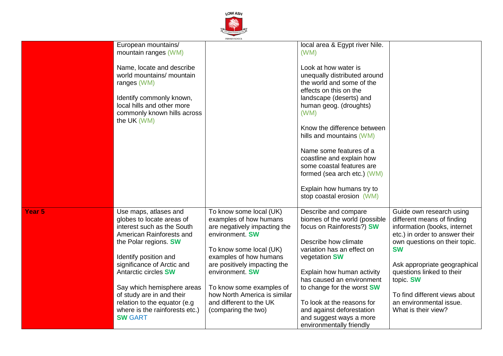

|                   |                                | PRIMARY SCHOOL               |                                   |                                |
|-------------------|--------------------------------|------------------------------|-----------------------------------|--------------------------------|
|                   | European mountains/            |                              | local area & Egypt river Nile.    |                                |
|                   | mountain ranges (WM)           |                              | (WM)                              |                                |
|                   |                                |                              |                                   |                                |
|                   | Name, locate and describe      |                              | Look at how water is              |                                |
|                   |                                |                              |                                   |                                |
|                   | world mountains/ mountain      |                              | unequally distributed around      |                                |
|                   | ranges (WM)                    |                              | the world and some of the         |                                |
|                   |                                |                              | effects on this on the            |                                |
|                   | Identify commonly known,       |                              | landscape (deserts) and           |                                |
|                   | local hills and other more     |                              | human geog. (droughts)            |                                |
|                   | commonly known hills across    |                              | (WM)                              |                                |
|                   | the UK (WM)                    |                              |                                   |                                |
|                   |                                |                              | Know the difference between       |                                |
|                   |                                |                              | hills and mountains (WM)          |                                |
|                   |                                |                              |                                   |                                |
|                   |                                |                              | Name some features of a           |                                |
|                   |                                |                              | coastline and explain how         |                                |
|                   |                                |                              | some coastal features are         |                                |
|                   |                                |                              | formed (sea arch etc.) (WM)       |                                |
|                   |                                |                              |                                   |                                |
|                   |                                |                              | Explain how humans try to         |                                |
|                   |                                |                              | stop coastal erosion (WM)         |                                |
|                   |                                |                              |                                   |                                |
| Year <sub>5</sub> | Use maps, atlases and          | To know some local (UK)      | Describe and compare              | Guide own research using       |
|                   | globes to locate areas of      | examples of how humans       | biomes of the world (possible     | different means of finding     |
|                   | interest such as the South     | are negatively impacting the | focus on Rainforests?) SW         | information (books, internet   |
|                   |                                |                              |                                   |                                |
|                   | American Rainforests and       | environment. SW              |                                   | etc.) in order to answer their |
|                   | the Polar regions. SW          |                              | Describe how climate              | own questions on their topic.  |
|                   |                                | To know some local (UK)      | variation has an effect on        | <b>SW</b>                      |
|                   | Identify position and          | examples of how humans       | vegetation SW                     |                                |
|                   | significance of Arctic and     | are positively impacting the |                                   | Ask appropriate geographical   |
|                   | Antarctic circles SW           | environment. SW              | Explain how human activity        | questions linked to their      |
|                   |                                |                              | has caused an environment         | topic. SW                      |
|                   | Say which hemisphere areas     | To know some examples of     | to change for the worst <b>SW</b> |                                |
|                   | of study are in and their      | how North America is similar |                                   | To find different views about  |
|                   |                                |                              |                                   |                                |
|                   | relation to the equator (e.g   | and different to the UK      | To look at the reasons for        | an environmental issue.        |
|                   | where is the rainforests etc.) | (comparing the two)          | and against deforestation         | What is their view?            |
|                   | <b>SW GART</b>                 |                              | and suggest ways a more           |                                |
|                   |                                |                              | environmentally friendly          |                                |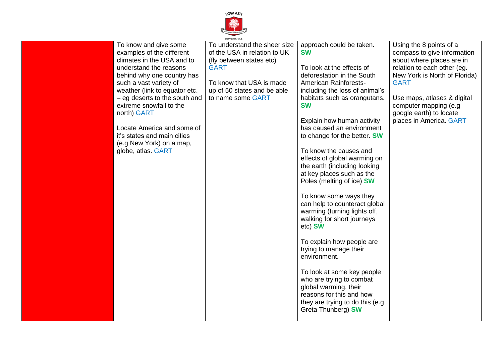

| examples of the different<br>of the USA in relation to UK<br>climates in the USA and to<br>(fly between states etc)<br>understand the reasons<br><b>GART</b><br>behind why one country has<br>such a vast variety of<br>To know that USA is made<br>weather (link to equator etc.<br>up of 50 states and be able<br>- eg deserts to the south and<br>to name some GART<br>extreme snowfall to the<br>north) GART<br>Locate America and some of<br>it's states and main cities<br>(e.g New York) on a map,<br>globe, atlas. GART | <b>SW</b><br>compass to give information<br>about where places are in<br>relation to each other (eg.<br>To look at the effects of<br>deforestation in the South<br>New York is North of Florida)<br><b>American Rainforests-</b><br><b>GART</b><br>including the loss of animal's<br>habitats such as orangutans.<br>Use maps, atlases & digital<br><b>SW</b><br>computer mapping (e.g.<br>google earth) to locate<br>places in America. GART<br>Explain how human activity<br>has caused an environment<br>to change for the better. SW<br>To know the causes and<br>effects of global warming on<br>the earth (including looking<br>at key places such as the<br>Poles (melting of ice) SW<br>To know some ways they<br>can help to counteract global<br>warming (turning lights off,<br>walking for short journeys<br>etc) SW<br>To explain how people are<br>trying to manage their<br>environment.<br>To look at some key people |
|---------------------------------------------------------------------------------------------------------------------------------------------------------------------------------------------------------------------------------------------------------------------------------------------------------------------------------------------------------------------------------------------------------------------------------------------------------------------------------------------------------------------------------|---------------------------------------------------------------------------------------------------------------------------------------------------------------------------------------------------------------------------------------------------------------------------------------------------------------------------------------------------------------------------------------------------------------------------------------------------------------------------------------------------------------------------------------------------------------------------------------------------------------------------------------------------------------------------------------------------------------------------------------------------------------------------------------------------------------------------------------------------------------------------------------------------------------------------------------|
|---------------------------------------------------------------------------------------------------------------------------------------------------------------------------------------------------------------------------------------------------------------------------------------------------------------------------------------------------------------------------------------------------------------------------------------------------------------------------------------------------------------------------------|---------------------------------------------------------------------------------------------------------------------------------------------------------------------------------------------------------------------------------------------------------------------------------------------------------------------------------------------------------------------------------------------------------------------------------------------------------------------------------------------------------------------------------------------------------------------------------------------------------------------------------------------------------------------------------------------------------------------------------------------------------------------------------------------------------------------------------------------------------------------------------------------------------------------------------------|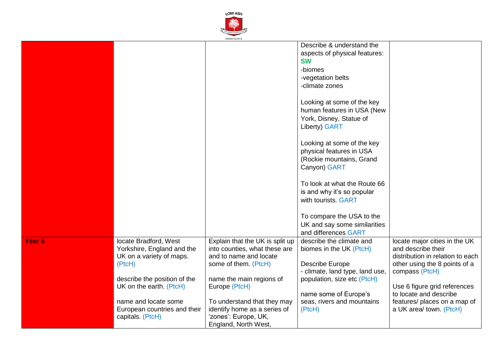

|                   |                              | PRIMARY SCHOOL                  |                                 |                                  |
|-------------------|------------------------------|---------------------------------|---------------------------------|----------------------------------|
|                   |                              |                                 | Describe & understand the       |                                  |
|                   |                              |                                 | aspects of physical features:   |                                  |
|                   |                              |                                 |                                 |                                  |
|                   |                              |                                 | <b>SW</b>                       |                                  |
|                   |                              |                                 | -biomes                         |                                  |
|                   |                              |                                 | -vegetation belts               |                                  |
|                   |                              |                                 | -climate zones                  |                                  |
|                   |                              |                                 |                                 |                                  |
|                   |                              |                                 |                                 |                                  |
|                   |                              |                                 | Looking at some of the key      |                                  |
|                   |                              |                                 | human features in USA (New      |                                  |
|                   |                              |                                 | York, Disney, Statue of         |                                  |
|                   |                              |                                 | <b>Liberty) GART</b>            |                                  |
|                   |                              |                                 |                                 |                                  |
|                   |                              |                                 | Looking at some of the key      |                                  |
|                   |                              |                                 | physical features in USA        |                                  |
|                   |                              |                                 |                                 |                                  |
|                   |                              |                                 | (Rockie mountains, Grand        |                                  |
|                   |                              |                                 | Canyon) GART                    |                                  |
|                   |                              |                                 |                                 |                                  |
|                   |                              |                                 | To look at what the Route 66    |                                  |
|                   |                              |                                 | is and why it's so popular      |                                  |
|                   |                              |                                 | with tourists. GART             |                                  |
|                   |                              |                                 |                                 |                                  |
|                   |                              |                                 | To compare the USA to the       |                                  |
|                   |                              |                                 | UK and say some similarities    |                                  |
|                   |                              |                                 | and differences GART            |                                  |
|                   |                              |                                 |                                 |                                  |
| Year <sub>6</sub> | locate Bradford, West        | Explain that the UK is split up | describe the climate and        | locate major cities in the UK    |
|                   | Yorkshire, England and the   | into counties, what these are   | biomes in the UK (PtcH)         | and describe their               |
|                   | UK on a variety of maps.     | and to name and locate          |                                 | distribution in relation to each |
|                   | (PtcH)                       | some of them. (PtcH)            | <b>Describe Europe</b>          | other using the 8 points of a    |
|                   |                              |                                 | - climate, land type, land use, | compass (PtcH)                   |
|                   | describe the position of the | name the main regions of        | population, size etc (PtcH)     |                                  |
|                   | UK on the earth. (PtcH)      | Europe (PtcH)                   |                                 | Use 6 figure grid references     |
|                   |                              |                                 | name some of Europe's           | to locate and describe           |
|                   | name and locate some         | To understand that they may     | seas, rivers and mountains      | features/ places on a map of     |
|                   |                              |                                 |                                 |                                  |
|                   | European countries and their | identify home as a series of    | (PtcH)                          | a UK area/ town. (PtcH)          |
|                   | capitals. (PtcH)             | 'zones': Europe, UK,            |                                 |                                  |
|                   |                              | England, North West,            |                                 |                                  |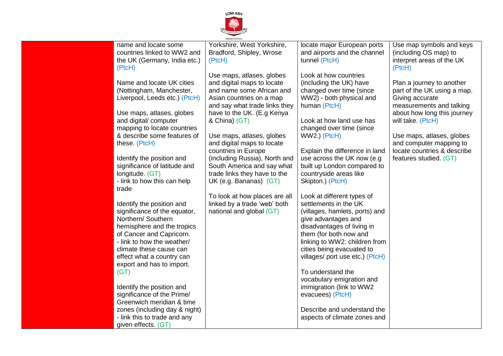

|                               | PRIMARY SCHOOL                |                                 |                             |
|-------------------------------|-------------------------------|---------------------------------|-----------------------------|
| name and locate some          | Yorkshire, West Yorkshire,    | locate major European ports     | Use map symbols and keys    |
| countries linked to WW2 and   | Bradford, Shipley, Wrose      | and airports and the channel    | (including OS map) to       |
| the UK (Germany, India etc.)  | (PtcH)                        | tunnel (PtcH)                   | interpret areas of the UK   |
| (PtcH)                        |                               |                                 | (PtcH)                      |
|                               | Use maps, atlases, globes     | Look at how countries           |                             |
| Name and locate UK cities     | and digital maps to locate    | (including the UK) have         | Plan a journey to another   |
| (Nottingham, Manchester,      | and name some African and     | changed over time (since        | part of the UK using a map. |
| Liverpool, Leeds etc.) (PtcH) | Asian countries on a map      | WW2) - both physical and        | Giving accurate             |
|                               | and say what trade links they | human (PtcH)                    | measurements and talking    |
| Use maps, atlases, globes     | have to the UK. (E.g Kenya    |                                 | about how long this journey |
| and digital/ computer         | & China) (GT)                 | Look at how land use has        | will take. (PtcH)           |
| mapping to locate countries   |                               | changed over time (since        |                             |
| & describe some features of   | Use maps, atlases, globes     | WW2.) (PtcH)                    | Use maps, atlases, globes   |
| these. (PtcH)                 | and digital maps to locate    |                                 | and computer mapping to     |
|                               | countries in Europe           | Explain the difference in land  | locate countries & describe |
| Identify the position and     | (including Russia), North and | use across the UK now (e.g.     | features studied. (GT)      |
| significance of latitude and  | South America and say what    | built up London compared to     |                             |
| longitude. (GT)               | trade links they have to the  | countryside areas like          |                             |
| - link to how this can help   | UK (e.g. Bananas) (GT)        | Skipton.) (PtcH)                |                             |
| trade                         |                               |                                 |                             |
|                               | To look at how places are all | Look at different types of      |                             |
| Identify the position and     | linked by a trade 'web' both  | settlements in the UK           |                             |
| significance of the equator,  | national and global (GT)      | (villages, hamlets, ports) and  |                             |
| Northern/ Southern            |                               | give advantages and             |                             |
| hemisphere and the tropics    |                               | disadvantages of living in      |                             |
| of Cancer and Capricorn.      |                               | them (for both now and          |                             |
| - link to how the weather/    |                               | linking to WW2: children from   |                             |
| climate these cause can       |                               | cities being evacuated to       |                             |
| effect what a country can     |                               | villages/ port use etc.) (PtcH) |                             |
| export and has to import.     |                               |                                 |                             |
| (GT)                          |                               | To understand the               |                             |
|                               |                               | vocabulary emigration and       |                             |
| Identify the position and     |                               | immigration (link to WW2        |                             |
| significance of the Prime/    |                               | evacuees) (PtcH)                |                             |
| Greenwich meridian & time     |                               |                                 |                             |
| zones (including day & night) |                               | Describe and understand the     |                             |
| - link this to trade and any  |                               | aspects of climate zones and    |                             |
| given effects. (GT)           |                               |                                 |                             |
|                               |                               |                                 |                             |